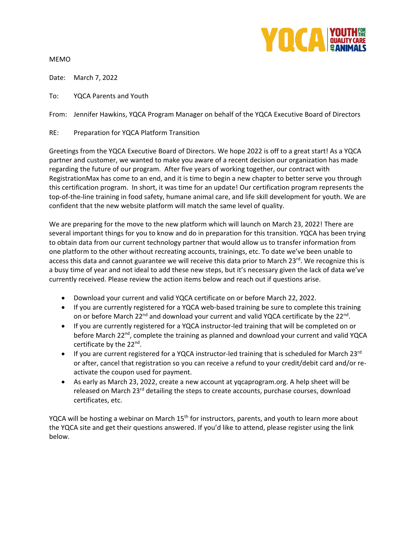

MEMO

Date: March 7, 2022

To: YQCA Parents and Youth

From: Jennifer Hawkins, YQCA Program Manager on behalf of the YQCA Executive Board of Directors

## RE: Preparation for YQCA Platform Transition

Greetings from the YQCA Executive Board of Directors. We hope 2022 is off to a great start! As a YQCA partner and customer, we wanted to make you aware of a recent decision our organization has made regarding the future of our program. After five years of working together, our contract with RegistrationMax has come to an end, and it is time to begin a new chapter to better serve you through this certification program. In short, it was time for an update! Our certification program represents the top-of-the-line training in food safety, humane animal care, and life skill development for youth. We are confident that the new website platform will match the same level of quality.

We are preparing for the move to the new platform which will launch on March 23, 2022! There are several important things for you to know and do in preparation for this transition. YQCA has been trying to obtain data from our current technology partner that would allow us to transfer information from one platform to the other without recreating accounts, trainings, etc. To date we've been unable to access this data and cannot guarantee we will receive this data prior to March 23rd. We recognize this is a busy time of year and not ideal to add these new steps, but it's necessary given the lack of data we've currently received. Please review the action items below and reach out if questions arise.

- Download your current and valid YQCA certificate on or before March 22, 2022.
- If you are currently registered for a YQCA web-based training be sure to complete this training on or before March 22<sup>nd</sup> and download your current and valid YQCA certificate by the 22<sup>nd</sup>.
- If you are currently registered for a YQCA instructor-led training that will be completed on or before March 22<sup>nd</sup>, complete the training as planned and download your current and valid YQCA certificate by the 22<sup>nd</sup>.
- If you are current registered for a YQCA instructor-led training that is scheduled for March 23 $^{\text{rd}}$ or after, cancel that registration so you can receive a refund to your credit/debit card and/or reactivate the coupon used for payment.
- As early as March 23, 2022, create a new account at yqcaprogram.org. A help sheet will be released on March 23<sup>rd</sup> detailing the steps to create accounts, purchase courses, download certificates, etc.

YQCA will be hosting a webinar on March 15<sup>th</sup> for instructors, parents, and youth to learn more about the YQCA site and get their questions answered. If you'd like to attend, please register using the link below.